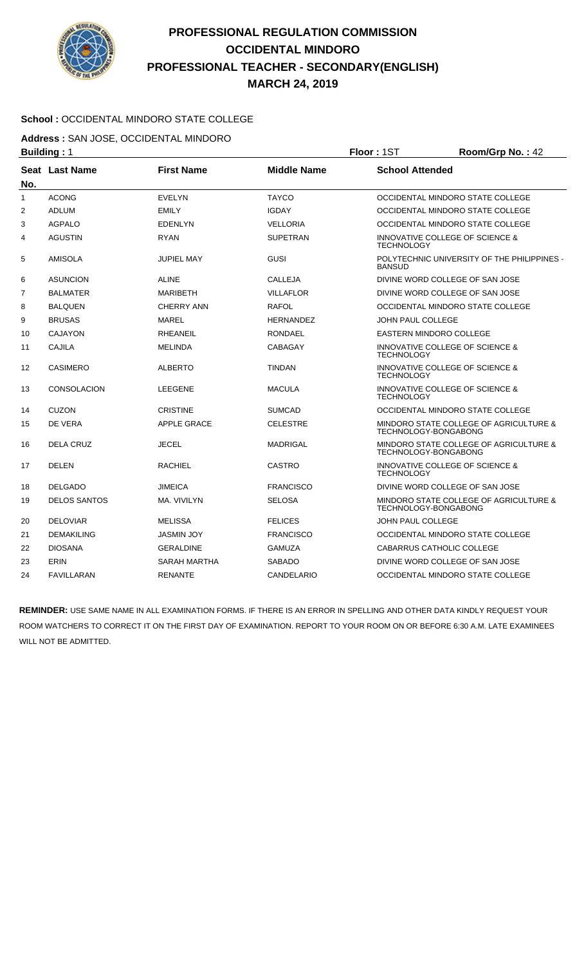

# **PROFESSIONAL REGULATION COMMISSION OCCIDENTAL MINDORO PROFESSIONAL TEACHER - SECONDARY(ENGLISH) MARCH 24, 2019**

### **School :** OCCIDENTAL MINDORO STATE COLLEGE

**Address :** SAN JOSE, OCCIDENTAL MINDORO

|                | <b>Building: 1</b>  |                     | Floor: 1ST         | Room/Grp No.: 42         |                                                                |  |
|----------------|---------------------|---------------------|--------------------|--------------------------|----------------------------------------------------------------|--|
| No.            | Seat Last Name      | <b>First Name</b>   | <b>Middle Name</b> |                          | <b>School Attended</b>                                         |  |
| $\mathbf{1}$   | <b>ACONG</b>        | <b>EVELYN</b>       | <b>TAYCO</b>       |                          | OCCIDENTAL MINDORO STATE COLLEGE                               |  |
| 2              | <b>ADLUM</b>        | <b>EMILY</b>        | <b>IGDAY</b>       |                          | OCCIDENTAL MINDORO STATE COLLEGE                               |  |
| 3              | <b>AGPALO</b>       | <b>EDENLYN</b>      | <b>VELLORIA</b>    |                          | OCCIDENTAL MINDORO STATE COLLEGE                               |  |
| 4              | <b>AGUSTIN</b>      | <b>RYAN</b>         | <b>SUPETRAN</b>    | <b>TECHNOLOGY</b>        | INNOVATIVE COLLEGE OF SCIENCE &                                |  |
| 5              | <b>AMISOLA</b>      | <b>JUPIEL MAY</b>   | <b>GUSI</b>        | <b>BANSUD</b>            | POLYTECHNIC UNIVERSITY OF THE PHILIPPINES -                    |  |
| 6              | <b>ASUNCION</b>     | <b>ALINE</b>        | <b>CALLEJA</b>     |                          | DIVINE WORD COLLEGE OF SAN JOSE                                |  |
| $\overline{7}$ | <b>BALMATER</b>     | <b>MARIBETH</b>     | <b>VILLAFLOR</b>   |                          | DIVINE WORD COLLEGE OF SAN JOSE                                |  |
| 8              | <b>BALQUEN</b>      | <b>CHERRY ANN</b>   | <b>RAFOL</b>       |                          | OCCIDENTAL MINDORO STATE COLLEGE                               |  |
| 9              | <b>BRUSAS</b>       | <b>MAREL</b>        | <b>HERNANDEZ</b>   |                          | JOHN PAUL COLLEGE                                              |  |
| 10             | <b>CAJAYON</b>      | <b>RHEANEIL</b>     | <b>RONDAEL</b>     |                          | <b>EASTERN MINDORO COLLEGE</b>                                 |  |
| 11             | <b>CAJILA</b>       | <b>MELINDA</b>      | CABAGAY            | <b>TECHNOLOGY</b>        | <b>INNOVATIVE COLLEGE OF SCIENCE &amp;</b>                     |  |
| 12             | <b>CASIMERO</b>     | <b>ALBERTO</b>      | <b>TINDAN</b>      | <b>TECHNOLOGY</b>        | <b>INNOVATIVE COLLEGE OF SCIENCE &amp;</b>                     |  |
| 13             | <b>CONSOLACION</b>  | <b>LEEGENE</b>      | <b>MACULA</b>      | <b>TECHNOLOGY</b>        | INNOVATIVE COLLEGE OF SCIENCE &                                |  |
| 14             | <b>CUZON</b>        | <b>CRISTINE</b>     | <b>SUMCAD</b>      |                          | OCCIDENTAL MINDORO STATE COLLEGE                               |  |
| 15             | DE VERA             | <b>APPLE GRACE</b>  | <b>CELESTRE</b>    |                          | MINDORO STATE COLLEGE OF AGRICULTURE &<br>TECHNOLOGY-BONGABONG |  |
| 16             | <b>DELA CRUZ</b>    | <b>JECEL</b>        | MADRIGAL           |                          | MINDORO STATE COLLEGE OF AGRICULTURE &<br>TECHNOLOGY-BONGABONG |  |
| 17             | <b>DELEN</b>        | RACHIEL             | <b>CASTRO</b>      | <b>TECHNOLOGY</b>        | INNOVATIVE COLLEGE OF SCIENCE &                                |  |
| 18             | <b>DELGADO</b>      | <b>JIMEICA</b>      | <b>FRANCISCO</b>   |                          | DIVINE WORD COLLEGE OF SAN JOSE                                |  |
| 19             | <b>DELOS SANTOS</b> | MA. VIVILYN         | <b>SELOSA</b>      |                          | MINDORO STATE COLLEGE OF AGRICULTURE &<br>TECHNOLOGY-BONGABONG |  |
| 20             | <b>DELOVIAR</b>     | <b>MELISSA</b>      | <b>FELICES</b>     | <b>JOHN PAUL COLLEGE</b> |                                                                |  |
| 21             | <b>DEMAKILING</b>   | <b>JASMIN JOY</b>   | <b>FRANCISCO</b>   |                          | OCCIDENTAL MINDORO STATE COLLEGE                               |  |
| 22             | <b>DIOSANA</b>      | <b>GERALDINE</b>    | <b>GAMUZA</b>      |                          | CABARRUS CATHOLIC COLLEGE                                      |  |
| 23             | <b>ERIN</b>         | <b>SARAH MARTHA</b> | <b>SABADO</b>      |                          | DIVINE WORD COLLEGE OF SAN JOSE                                |  |
| 24             | <b>FAVILLARAN</b>   | <b>RENANTE</b>      | <b>CANDELARIO</b>  |                          | OCCIDENTAL MINDORO STATE COLLEGE                               |  |

**REMINDER:** USE SAME NAME IN ALL EXAMINATION FORMS. IF THERE IS AN ERROR IN SPELLING AND OTHER DATA KINDLY REQUEST YOUR ROOM WATCHERS TO CORRECT IT ON THE FIRST DAY OF EXAMINATION. REPORT TO YOUR ROOM ON OR BEFORE 6:30 A.M. LATE EXAMINEES WILL NOT BE ADMITTED.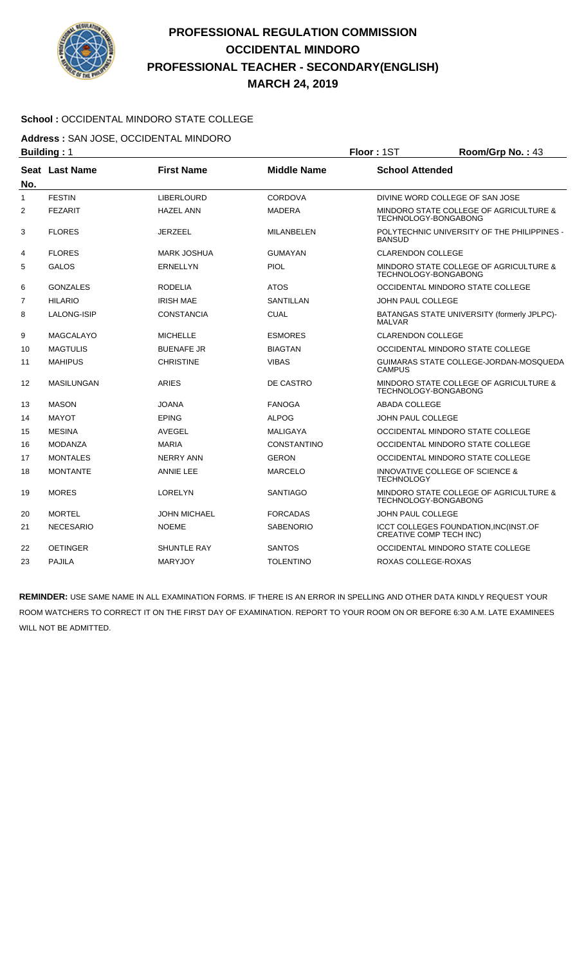

# **PROFESSIONAL REGULATION COMMISSION OCCIDENTAL MINDORO PROFESSIONAL TEACHER - SECONDARY(ENGLISH) MARCH 24, 2019**

### **School :** OCCIDENTAL MINDORO STATE COLLEGE

**Address :** SAN JOSE, OCCIDENTAL MINDORO

|                | <b>Building: 1</b> |                     | Floor: 1ST         | Room/Grp No.: 43         |                                                                  |  |
|----------------|--------------------|---------------------|--------------------|--------------------------|------------------------------------------------------------------|--|
| No.            | Seat Last Name     | <b>First Name</b>   | <b>Middle Name</b> |                          | <b>School Attended</b>                                           |  |
| $\mathbf{1}$   | <b>FESTIN</b>      | <b>LIBERLOURD</b>   | <b>CORDOVA</b>     |                          | DIVINE WORD COLLEGE OF SAN JOSE                                  |  |
| $\overline{2}$ | <b>FEZARIT</b>     | <b>HAZEL ANN</b>    | <b>MADERA</b>      |                          | MINDORO STATE COLLEGE OF AGRICULTURE &<br>TECHNOLOGY-BONGABONG   |  |
| 3              | <b>FLORES</b>      | <b>JERZEEL</b>      | <b>MILANBELEN</b>  | <b>BANSUD</b>            | POLYTECHNIC UNIVERSITY OF THE PHILIPPINES -                      |  |
| 4              | <b>FLORES</b>      | <b>MARK JOSHUA</b>  | <b>GUMAYAN</b>     | <b>CLARENDON COLLEGE</b> |                                                                  |  |
| 5              | <b>GALOS</b>       | <b>ERNELLYN</b>     | <b>PIOL</b>        |                          | MINDORO STATE COLLEGE OF AGRICULTURE &<br>TECHNOLOGY-BONGABONG   |  |
| 6              | <b>GONZALES</b>    | <b>RODELIA</b>      | <b>ATOS</b>        |                          | OCCIDENTAL MINDORO STATE COLLEGE                                 |  |
| $\overline{7}$ | <b>HILARIO</b>     | <b>IRISH MAE</b>    | SANTILLAN          |                          | JOHN PAUL COLLEGE                                                |  |
| 8              | <b>LALONG-ISIP</b> | <b>CONSTANCIA</b>   | <b>CUAL</b>        | <b>MALVAR</b>            | BATANGAS STATE UNIVERSITY (formerly JPLPC)-                      |  |
| 9              | MAGCALAYO          | <b>MICHELLE</b>     | <b>ESMORES</b>     | <b>CLARENDON COLLEGE</b> |                                                                  |  |
| 10             | <b>MAGTULIS</b>    | <b>BUENAFE JR</b>   | <b>BIAGTAN</b>     |                          | OCCIDENTAL MINDORO STATE COLLEGE                                 |  |
| 11             | <b>MAHIPUS</b>     | <b>CHRISTINE</b>    | <b>VIBAS</b>       | <b>CAMPUS</b>            | GUIMARAS STATE COLLEGE-JORDAN-MOSQUEDA                           |  |
| 12             | <b>MASILUNGAN</b>  | <b>ARIES</b>        | DE CASTRO          |                          | MINDORO STATE COLLEGE OF AGRICULTURE &<br>TECHNOLOGY-BONGABONG   |  |
| 13             | <b>MASON</b>       | <b>JOANA</b>        | <b>FANOGA</b>      | <b>ABADA COLLEGE</b>     |                                                                  |  |
| 14             | <b>MAYOT</b>       | <b>EPING</b>        | <b>ALPOG</b>       | <b>JOHN PAUL COLLEGE</b> |                                                                  |  |
| 15             | <b>MESINA</b>      | <b>AVEGEL</b>       | <b>MALIGAYA</b>    |                          | OCCIDENTAL MINDORO STATE COLLEGE                                 |  |
| 16             | <b>MODANZA</b>     | <b>MARIA</b>        | <b>CONSTANTINO</b> |                          | OCCIDENTAL MINDORO STATE COLLEGE                                 |  |
| 17             | <b>MONTALES</b>    | <b>NERRY ANN</b>    | <b>GERON</b>       |                          | OCCIDENTAL MINDORO STATE COLLEGE                                 |  |
| 18             | <b>MONTANTE</b>    | <b>ANNIE LEE</b>    | <b>MARCELO</b>     | <b>TECHNOLOGY</b>        | <b>INNOVATIVE COLLEGE OF SCIENCE &amp;</b>                       |  |
| 19             | <b>MORES</b>       | <b>LORELYN</b>      | <b>SANTIAGO</b>    |                          | MINDORO STATE COLLEGE OF AGRICULTURE &<br>TECHNOLOGY-BONGABONG   |  |
| 20             | <b>MORTEL</b>      | <b>JOHN MICHAEL</b> | <b>FORCADAS</b>    | <b>JOHN PAUL COLLEGE</b> |                                                                  |  |
| 21             | <b>NECESARIO</b>   | <b>NOEME</b>        | <b>SABENORIO</b>   |                          | ICCT COLLEGES FOUNDATION, INC(INST.OF<br>CREATIVE COMP TECH INC) |  |
| 22             | <b>OETINGER</b>    | <b>SHUNTLE RAY</b>  | <b>SANTOS</b>      |                          | OCCIDENTAL MINDORO STATE COLLEGE                                 |  |
| 23             | <b>PAJILA</b>      | <b>MARYJOY</b>      | <b>TOLENTINO</b>   | ROXAS COLLEGE-ROXAS      |                                                                  |  |

**REMINDER:** USE SAME NAME IN ALL EXAMINATION FORMS. IF THERE IS AN ERROR IN SPELLING AND OTHER DATA KINDLY REQUEST YOUR ROOM WATCHERS TO CORRECT IT ON THE FIRST DAY OF EXAMINATION. REPORT TO YOUR ROOM ON OR BEFORE 6:30 A.M. LATE EXAMINEES WILL NOT BE ADMITTED.